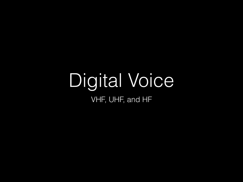## Digital Voice VHF, UHF, and HF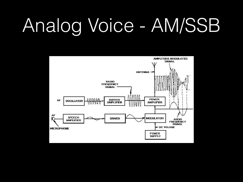## Analog Voice - AM/SSB

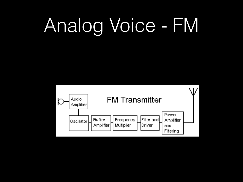## Analog Voice - FM

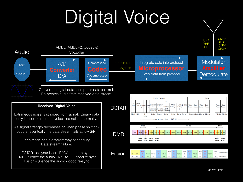# Digital Voice

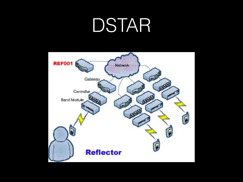## DSTAR

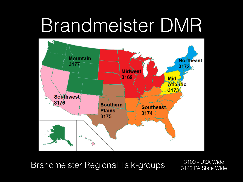## Brandmeister DMR



Brandmeister Regional Talk-groups 3100 - USA Wide

3142 PA State Wide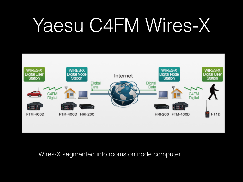## Yaesu C4FM Wires-X



### Wires-X segmented into rooms on node computer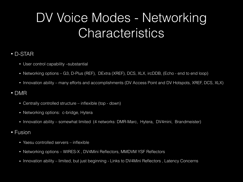### DV Voice Modes - Networking **Characteristics**

#### • D-STAR

- User control capability –substantial
- Networking options G3, D-Plus (REF), DExtra (XREF), DCS, XLX, ircDDB, (Echo end to end loop)
- Innovation ability many efforts and accomplishments (DV Access Point and DV Hotspots, XREF, DCS, XLX)

#### • DMR

- Centrally controlled structure inflexible (top down)
- Networking options: c-bridge, Hytera
- Innovation ability somewhat limited (4 networks: DMR-Marc, Hytera, DV4mini, Brandmeister)
- Fusion
	- Yaesu controlled servers inflexible
	- Networking options WIRES-X , DV4Mini Reflectors, MMDVM YSF Reflectors
	- Innovation ability limited, but just beginning Links to DV4Mini Reflectors, Latency Concerns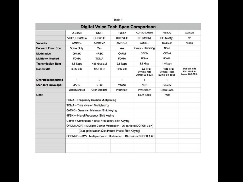|                                       |                                                                      |                                                   | Table 1        |                                           |                                           |                                                    |
|---------------------------------------|----------------------------------------------------------------------|---------------------------------------------------|----------------|-------------------------------------------|-------------------------------------------|----------------------------------------------------|
|                                       |                                                                      |                                                   |                | <b>Digital Voice Tech Spec Comparison</b> |                                           |                                                    |
|                                       | <b>D-STAR</b>                                                        | <b>DMR</b>                                        | Fusion         | AOR ARD9800                               | FreeDV                                    | AM/SSB                                             |
|                                       | VHF/LHF/23cm                                                         | <b>UHF/VHF</b>                                    | <b>UHF/VHF</b> | HF (Mostly)                               | HF (Mostly)                               | HF                                                 |
| Vocoder                               | $AMBE+$                                                              | $AMBE+2$                                          | $AMBE+2$       | $AMBE+$                                   | Codec-2                                   | Analog                                             |
| <b>Forward Error Corr.</b>            | Voice Only                                                           | Yes                                               | Yes            | Golay - Hamming                           | None                                      |                                                    |
| <b>Modulation</b>                     | <b>GMSK</b>                                                          | 4FSK                                              | C4FM           | <b>OFDM</b>                               | <b>CFDM</b>                               |                                                    |
| <b>Multiplex Method</b>               | <b>FDMA</b>                                                          | <b>TDMA</b>                                       | <b>FDMA</b>    | <b>FDMA</b>                               | <b>FDMA</b>                               |                                                    |
| <b>Transmission Rate</b>              | 4.8 kbps                                                             | 4.8 kbps x 2                                      | 9.6 kbps       | 3.6 kbps                                  | 1.6 kbps                                  |                                                    |
| <b>Bandwidth</b>                      | $6.25$ kHz                                                           | 12.5 kHz                                          | 12.5 kHz       | $2.5$ kHz<br>Symbol rate<br>20ms/ 50 baud | 1.25 kHz<br>Sympol Rate<br>20 ms/ 50 baud | <b>SSE 2.8 kHz</b><br>AM 5.6 kHz<br>below 28.8 MHz |
| <b>Channels supported</b>             | 1                                                                    | $\overline{2}$                                    | 1              | 1                                         | 1                                         |                                                    |
| <b>Standard Developer</b>             | <b>JARL</b>                                                          | <b>ETSI</b>                                       | Yaesu          | FOA                                       | FreeDV                                    |                                                    |
|                                       | Open Standard                                                        | Open Standard                                     | Proprietary    | Proprietary                               | Open Code                                 |                                                    |
| Cost                                  |                                                                      |                                                   |                | <b>EBAY \$495</b>                         | Free                                      |                                                    |
|                                       | FDMA - Frequency Division Multiplexing                               |                                                   |                |                                           |                                           |                                                    |
|                                       | TDMA = Time div sion Multiplexing                                    |                                                   |                |                                           |                                           |                                                    |
|                                       | GMSK = Gaussian Mirimum Shift Keyng                                  |                                                   |                |                                           |                                           |                                                    |
| 4FSK = 4-level Frequency Shift Keying |                                                                      |                                                   |                |                                           |                                           |                                                    |
|                                       | C4FM = Continucus 4-level Frequency Shift Keying                     |                                                   |                |                                           |                                           |                                                    |
|                                       | OFDM (AOR) = Multiple Carrier Modulation - 36 carriers: DQPSK 3.6K)  |                                                   |                |                                           |                                           |                                                    |
|                                       |                                                                      | (Dual-polarization Quadrature Phase Shift Keying) |                |                                           |                                           |                                                    |
|                                       | OFDM (FreeDV) - Multiple Carrier Modulation - 16 carriers DQPSK 1.6K |                                                   |                |                                           |                                           |                                                    |
|                                       |                                                                      |                                                   |                |                                           |                                           |                                                    |
|                                       |                                                                      |                                                   |                |                                           |                                           |                                                    |
|                                       |                                                                      |                                                   |                |                                           |                                           |                                                    |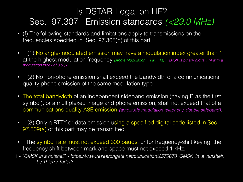### Is DSTAR Legal on HF? Sec. 97.307 Emission standards *(<29.0 MHz)*

- (f) The following standards and limitations apply to transmissions on the frequencies specified in Sec. 97.305(c) of this part.
- (1) No angle-modulated emission may have a modulation index greater than 1 at the highest modulation frequency *(Angle Modulation = FM, PM)*. *(MSK is binary digital FM with a modulation index of 0.5.)1*
- (2) No non-phone emission shall exceed the bandwidth of a communications quality phone emission of the same modulation type.
- The total bandwidth of an independent sideband emission (having B as the first symbol), or a multiplexed image and phone emission, shall not exceed that of a communications quality A3E emission *(amplitude modulation telephony, double sideband)*.
- (3) Only a RTTY or data emission using a specified digital code listed in Sec. 97.309(a) of this part may be transmitted.
- The symbol rate must not exceed 300 bauds, or for frequency-shift keying, the frequency shift between mark and space must not exceed 1 kHz.
- 1 *"GMSK in a nutshell" - [https://www.researchgate.net/publication/2575678\\_GMSK\\_in\\_a\\_nutshell](https://www.researchgate.net/publication/2575678_GMSK_in_a_nutshell), by Thierry Turletti*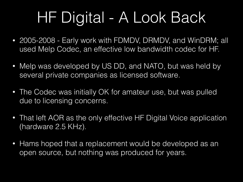## HF Digital - A Look Back

- 2005-2008 Early work with FDMDV, DRMDV, and WinDRM; all used Melp Codec, an effective low bandwidth codec for HF.
- Melp was developed by US DD, and NATO, but was held by several private companies as licensed software.
- The Codec was initially OK for amateur use, but was pulled due to licensing concerns.
- That left AOR as the only effective HF Digital Voice application (hardware 2.5 KHz).
- Hams hoped that a replacement would be developed as an open source, but nothing was produced for years.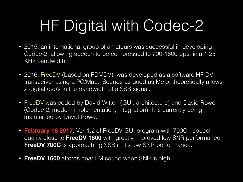## HF Digital with Codec-2

- 2015, an international group of amateurs was successful in developing Codec-2, allowing speech to be compressed to 700-1600 bps, in a 1.25 KHz bandwidth.
- 2016, FreeDV (based on FDMDV), was developed as a software HF DV transceiver using a PC/Mac. Sounds as good as Melp, theoretically allows 2 digital qso's in the bandwidth of a SSB signal.
- FreeDV was coded by David Witten (GUI, architecture) and David Rowe (Codec 2, modem implementation, integration). It is currently being maintained by David Rowe.
- **February 16 2017**: Ver 1.2 of FreeDV GUI program with 700C speech quality close to **FreeDV 1600** with greatly improved low SNR performance. **FreeDV 700C** is approaching SSB in it's low SNR performance.
- **FreeDV 1600** affords near FM sound when SNR is high.